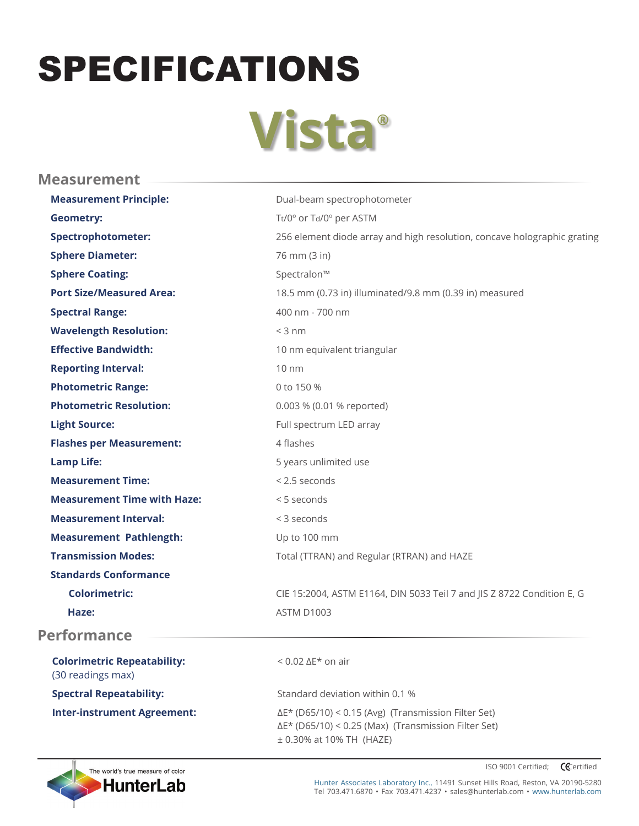## SPECIFICATIONS

## **Vista®**

| <b>Measurement</b>                                      |                                                                                                                              |
|---------------------------------------------------------|------------------------------------------------------------------------------------------------------------------------------|
| <b>Measurement Principle:</b>                           | Dual-beam spectrophotometer                                                                                                  |
| <b>Geometry:</b>                                        | Tt/0° or Td/0° per ASTM                                                                                                      |
| <b>Spectrophotometer:</b>                               | 256 element diode array and high resolution, concave holographic grating                                                     |
| <b>Sphere Diameter:</b>                                 | 76 mm (3 in)                                                                                                                 |
| <b>Sphere Coating:</b>                                  | Spectralon™                                                                                                                  |
| <b>Port Size/Measured Area:</b>                         | 18.5 mm (0.73 in) illuminated/9.8 mm (0.39 in) measured                                                                      |
| <b>Spectral Range:</b>                                  | 400 nm - 700 nm                                                                                                              |
| <b>Wavelength Resolution:</b>                           | $<$ 3 nm                                                                                                                     |
| <b>Effective Bandwidth:</b>                             | 10 nm equivalent triangular                                                                                                  |
| <b>Reporting Interval:</b>                              | $10 \text{ nm}$                                                                                                              |
| <b>Photometric Range:</b>                               | 0 to 150 %                                                                                                                   |
| <b>Photometric Resolution:</b>                          | 0.003 % (0.01 % reported)                                                                                                    |
| <b>Light Source:</b>                                    | Full spectrum LED array                                                                                                      |
| <b>Flashes per Measurement:</b>                         | 4 flashes                                                                                                                    |
| <b>Lamp Life:</b>                                       | 5 years unlimited use                                                                                                        |
| <b>Measurement Time:</b>                                | < 2.5 seconds                                                                                                                |
| <b>Measurement Time with Haze:</b>                      | < 5 seconds                                                                                                                  |
| <b>Measurement Interval:</b>                            | < 3 seconds                                                                                                                  |
| <b>Measurement Pathlength:</b>                          | Up to 100 mm                                                                                                                 |
| <b>Transmission Modes:</b>                              | Total (TTRAN) and Regular (RTRAN) and HAZE                                                                                   |
| <b>Standards Conformance</b>                            |                                                                                                                              |
| <b>Colorimetric:</b>                                    | CIE 15:2004, ASTM E1164, DIN 5033 Teil 7 and JIS Z 8722 Condition E, G                                                       |
| Haze:                                                   | ASTM D1003                                                                                                                   |
| <b>Performance</b>                                      |                                                                                                                              |
| <b>Colorimetric Repeatability:</b><br>(30 readings max) | $< 0.02 \Delta E^*$ on air                                                                                                   |
| <b>Spectral Repeatability:</b>                          | Standard deviation within 0.1 %                                                                                              |
| <b>Inter-instrument Agreement:</b>                      | $\Delta E^*$ (D65/10) < 0.15 (Avg) (Transmission Filter Set)<br>$\Delta E^*$ (D65/10) < 0.25 (Max) (Transmission Filter Set) |

± 0.30% at 10% TH (HAZE)



ISO 9001 Certified; **CE**certified

Hunter Associates Laboratory Inc., 11491 Sunset Hills Road, Reston, VA 20190-5280 Tel 703.471.6870 • Fax 703.471.4237 • sales@hunterlab.com • www.hunterlab.com